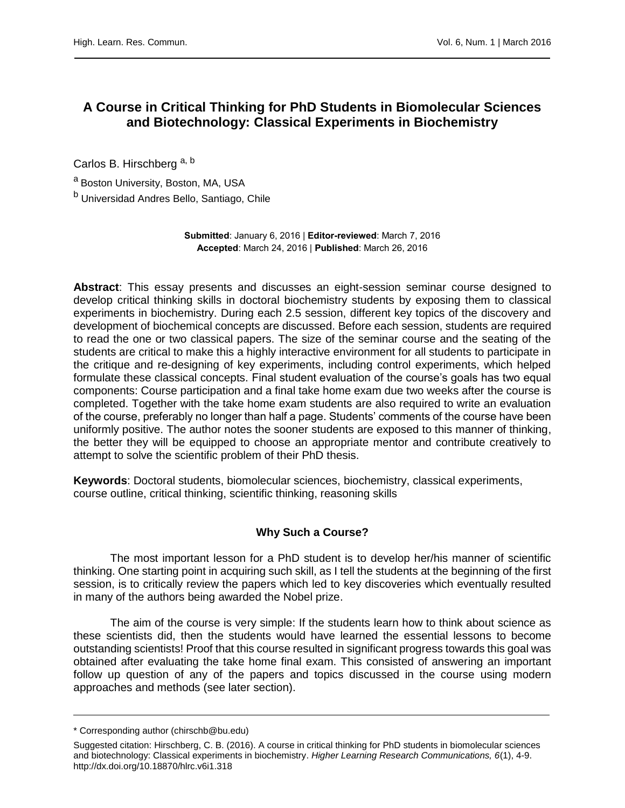# **A Course in Critical Thinking for PhD Students in Biomolecular Sciences and Biotechnology: Classical Experiments in Biochemistry**

Carlos B. Hirschberg a, b

a Boston University, Boston, MA, USA

<sup>b</sup> Universidad Andres Bello, Santiago, Chile

**Submitted**: January 6, 2016 | **Editor-reviewed**: March 7, 2016 **Accepted**: March 24, 2016 | **Published**: March 26, 2016

**Abstract**: This essay presents and discusses an eight-session seminar course designed to develop critical thinking skills in doctoral biochemistry students by exposing them to classical experiments in biochemistry. During each 2.5 session, different key topics of the discovery and development of biochemical concepts are discussed. Before each session, students are required to read the one or two classical papers. The size of the seminar course and the seating of the students are critical to make this a highly interactive environment for all students to participate in the critique and re-designing of key experiments, including control experiments, which helped formulate these classical concepts. Final student evaluation of the course's goals has two equal components: Course participation and a final take home exam due two weeks after the course is completed. Together with the take home exam students are also required to write an evaluation of the course, preferably no longer than half a page. Students' comments of the course have been uniformly positive. The author notes the sooner students are exposed to this manner of thinking, the better they will be equipped to choose an appropriate mentor and contribute creatively to attempt to solve the scientific problem of their PhD thesis.

**Keywords**: Doctoral students, biomolecular sciences, biochemistry, classical experiments, course outline, critical thinking, scientific thinking, reasoning skills

# **Why Such a Course?**

The most important lesson for a PhD student is to develop her/his manner of scientific thinking. One starting point in acquiring such skill, as I tell the students at the beginning of the first session, is to critically review the papers which led to key discoveries which eventually resulted in many of the authors being awarded the Nobel prize.

The aim of the course is very simple: If the students learn how to think about science as these scientists did, then the students would have learned the essential lessons to become outstanding scientists! Proof that this course resulted in significant progress towards this goal was obtained after evaluating the take home final exam. This consisted of answering an important follow up question of any of the papers and topics discussed in the course using modern approaches and methods (see later section).

<sup>\*</sup> Corresponding author (chirschb@bu.edu)

Suggested citation: Hirschberg, C. B. (2016). A course in critical thinking for PhD students in biomolecular sciences and biotechnology: Classical experiments in biochemistry. *Higher Learning Research Communications, 6*(1), 4-9. http://dx.doi.org/10.18870/hlrc.v6i1.318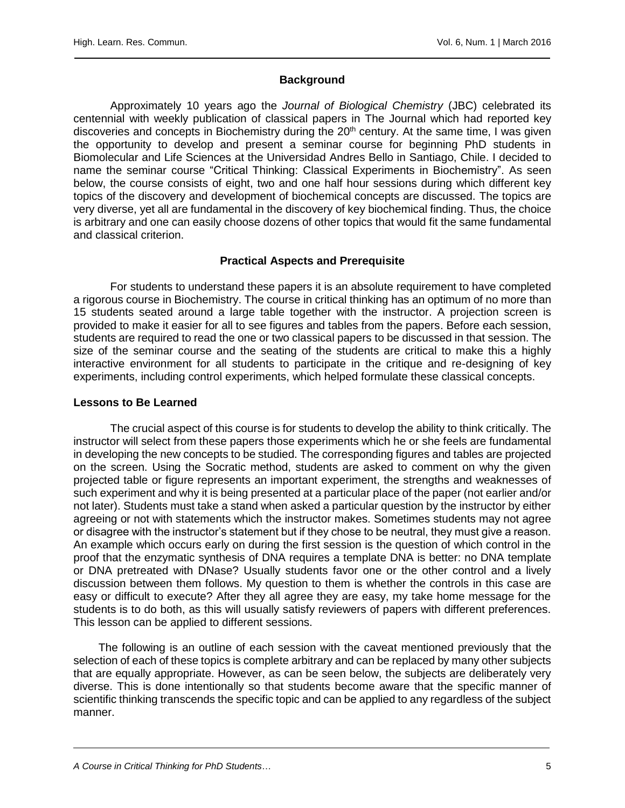## **Background**

Approximately 10 years ago the *Journal of Biological Chemistry* (JBC) celebrated its centennial with weekly publication of classical papers in The Journal which had reported key discoveries and concepts in Biochemistry during the 20<sup>th</sup> century. At the same time, I was given the opportunity to develop and present a seminar course for beginning PhD students in Biomolecular and Life Sciences at the Universidad Andres Bello in Santiago, Chile. I decided to name the seminar course "Critical Thinking: Classical Experiments in Biochemistry". As seen below, the course consists of eight, two and one half hour sessions during which different key topics of the discovery and development of biochemical concepts are discussed. The topics are very diverse, yet all are fundamental in the discovery of key biochemical finding. Thus, the choice is arbitrary and one can easily choose dozens of other topics that would fit the same fundamental and classical criterion.

## **Practical Aspects and Prerequisite**

For students to understand these papers it is an absolute requirement to have completed a rigorous course in Biochemistry. The course in critical thinking has an optimum of no more than 15 students seated around a large table together with the instructor. A projection screen is provided to make it easier for all to see figures and tables from the papers. Before each session, students are required to read the one or two classical papers to be discussed in that session. The size of the seminar course and the seating of the students are critical to make this a highly interactive environment for all students to participate in the critique and re-designing of key experiments, including control experiments, which helped formulate these classical concepts.

#### **Lessons to Be Learned**

The crucial aspect of this course is for students to develop the ability to think critically. The instructor will select from these papers those experiments which he or she feels are fundamental in developing the new concepts to be studied. The corresponding figures and tables are projected on the screen. Using the Socratic method, students are asked to comment on why the given projected table or figure represents an important experiment, the strengths and weaknesses of such experiment and why it is being presented at a particular place of the paper (not earlier and/or not later). Students must take a stand when asked a particular question by the instructor by either agreeing or not with statements which the instructor makes. Sometimes students may not agree or disagree with the instructor's statement but if they chose to be neutral, they must give a reason. An example which occurs early on during the first session is the question of which control in the proof that the enzymatic synthesis of DNA requires a template DNA is better: no DNA template or DNA pretreated with DNase? Usually students favor one or the other control and a lively discussion between them follows. My question to them is whether the controls in this case are easy or difficult to execute? After they all agree they are easy, my take home message for the students is to do both, as this will usually satisfy reviewers of papers with different preferences. This lesson can be applied to different sessions.

 The following is an outline of each session with the caveat mentioned previously that the selection of each of these topics is complete arbitrary and can be replaced by many other subjects that are equally appropriate. However, as can be seen below, the subjects are deliberately very diverse. This is done intentionally so that students become aware that the specific manner of scientific thinking transcends the specific topic and can be applied to any regardless of the subject manner.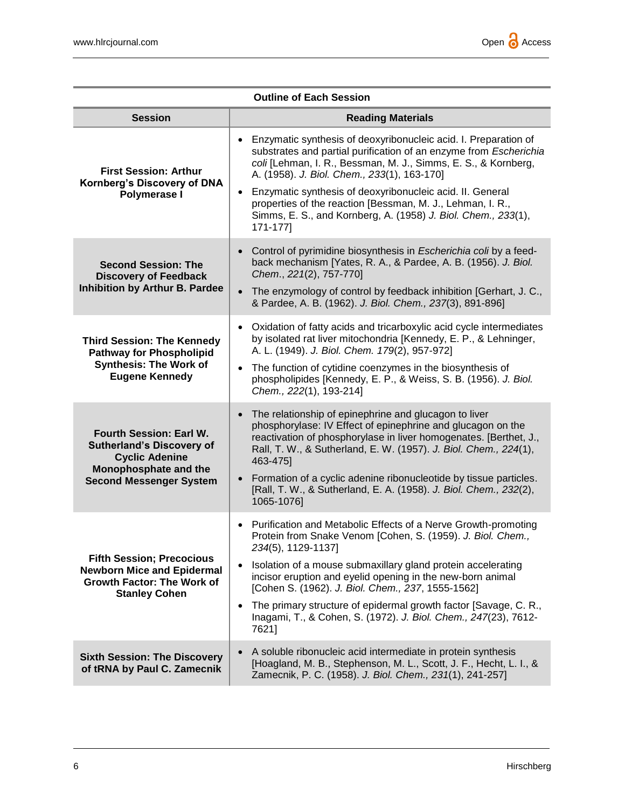| <b>Outline of Each Session</b>                                                                                                                  |                                                                                                                                                                                                                                                                                                                                                                                                                                  |
|-------------------------------------------------------------------------------------------------------------------------------------------------|----------------------------------------------------------------------------------------------------------------------------------------------------------------------------------------------------------------------------------------------------------------------------------------------------------------------------------------------------------------------------------------------------------------------------------|
| <b>Session</b>                                                                                                                                  | <b>Reading Materials</b>                                                                                                                                                                                                                                                                                                                                                                                                         |
| <b>First Session: Arthur</b><br>Kornberg's Discovery of DNA<br>Polymerase I                                                                     | Enzymatic synthesis of deoxyribonucleic acid. I. Preparation of<br>substrates and partial purification of an enzyme from Escherichia<br>coli [Lehman, I. R., Bessman, M. J., Simms, E. S., & Kornberg,<br>A. (1958). J. Biol. Chem., 233(1), 163-170]                                                                                                                                                                            |
|                                                                                                                                                 | Enzymatic synthesis of deoxyribonucleic acid. II. General<br>$\bullet$<br>properties of the reaction [Bessman, M. J., Lehman, I. R.,<br>Simms, E. S., and Kornberg, A. (1958) J. Biol. Chem., 233(1),<br>171-177]                                                                                                                                                                                                                |
| <b>Second Session: The</b><br><b>Discovery of Feedback</b><br>Inhibition by Arthur B. Pardee                                                    | Control of pyrimidine biosynthesis in Escherichia coli by a feed-<br>back mechanism [Yates, R. A., & Pardee, A. B. (1956). J. Biol.<br>Chem., 221(2), 757-770]                                                                                                                                                                                                                                                                   |
|                                                                                                                                                 | The enzymology of control by feedback inhibition [Gerhart, J. C.,<br>& Pardee, A. B. (1962). J. Biol. Chem., 237(3), 891-896]                                                                                                                                                                                                                                                                                                    |
| <b>Third Session: The Kennedy</b><br><b>Pathway for Phospholipid</b><br><b>Synthesis: The Work of</b><br><b>Eugene Kennedy</b>                  | Oxidation of fatty acids and tricarboxylic acid cycle intermediates<br>$\bullet$<br>by isolated rat liver mitochondria [Kennedy, E. P., & Lehninger,<br>A. L. (1949). J. Biol. Chem. 179(2), 957-972]                                                                                                                                                                                                                            |
|                                                                                                                                                 | The function of cytidine coenzymes in the biosynthesis of<br>$\bullet$<br>phospholipides [Kennedy, E. P., & Weiss, S. B. (1956). J. Biol.<br>Chem., 222(1), 193-214]                                                                                                                                                                                                                                                             |
| Fourth Session: Earl W.<br><b>Sutherland's Discovery of</b><br><b>Cyclic Adenine</b><br>Monophosphate and the<br><b>Second Messenger System</b> | The relationship of epinephrine and glucagon to liver<br>$\bullet$<br>phosphorylase: IV Effect of epinephrine and glucagon on the<br>reactivation of phosphorylase in liver homogenates. [Berthet, J.,<br>Rall, T. W., & Sutherland, E. W. (1957). J. Biol. Chem., 224(1),<br>463-475]<br>Formation of a cyclic adenine ribonucleotide by tissue particles.<br>[Rall, T. W., & Sutherland, E. A. (1958). J. Biol. Chem., 232(2), |
|                                                                                                                                                 | 1065-1076]                                                                                                                                                                                                                                                                                                                                                                                                                       |
| <b>Fifth Session; Precocious</b><br><b>Newborn Mice and Epidermal</b><br><b>Growth Factor: The Work of</b><br><b>Stanley Cohen</b>              | Purification and Metabolic Effects of a Nerve Growth-promoting<br>$\bullet$<br>Protein from Snake Venom [Cohen, S. (1959). J. Biol. Chem.,<br>234(5), 1129-1137]                                                                                                                                                                                                                                                                 |
|                                                                                                                                                 | Isolation of a mouse submaxillary gland protein accelerating<br>$\bullet$<br>incisor eruption and eyelid opening in the new-born animal<br>[Cohen S. (1962). J. Biol. Chem., 237, 1555-1562]                                                                                                                                                                                                                                     |
|                                                                                                                                                 | The primary structure of epidermal growth factor [Savage, C. R.,<br>$\bullet$<br>Inagami, T., & Cohen, S. (1972). J. Biol. Chem., 247(23), 7612-<br>7621]                                                                                                                                                                                                                                                                        |
| <b>Sixth Session: The Discovery</b><br>of tRNA by Paul C. Zamecnik                                                                              | A soluble ribonucleic acid intermediate in protein synthesis<br>[Hoagland, M. B., Stephenson, M. L., Scott, J. F., Hecht, L. I., &<br>Zamecnik, P. C. (1958). J. Biol. Chem., 231(1), 241-257]                                                                                                                                                                                                                                   |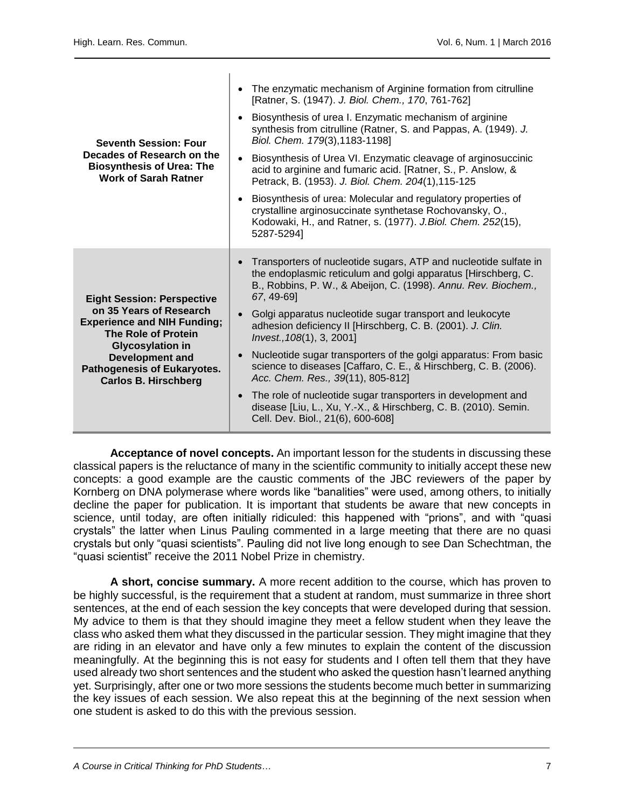$\mathbf{I}$ 

| <b>Seventh Session: Four</b><br>Decades of Research on the<br><b>Biosynthesis of Urea: The</b><br><b>Work of Sarah Ratner</b><br><b>Eight Session: Perspective</b><br>on 35 Years of Research<br><b>Experience and NIH Funding;</b><br><b>The Role of Protein</b><br><b>Glycosylation in</b><br><b>Development and</b><br><b>Pathogenesis of Eukaryotes.</b><br><b>Carlos B. Hirschberg</b> | The enzymatic mechanism of Arginine formation from citrulline<br>[Ratner, S. (1947). J. Biol. Chem., 170, 761-762]                                                                                                |
|---------------------------------------------------------------------------------------------------------------------------------------------------------------------------------------------------------------------------------------------------------------------------------------------------------------------------------------------------------------------------------------------|-------------------------------------------------------------------------------------------------------------------------------------------------------------------------------------------------------------------|
|                                                                                                                                                                                                                                                                                                                                                                                             | Biosynthesis of urea I. Enzymatic mechanism of arginine<br>synthesis from citrulline (Ratner, S. and Pappas, A. (1949). J.<br>Biol. Chem. 179(3), 1183-1198]                                                      |
|                                                                                                                                                                                                                                                                                                                                                                                             | Biosynthesis of Urea VI. Enzymatic cleavage of arginosuccinic<br>acid to arginine and fumaric acid. [Ratner, S., P. Anslow, &<br>Petrack, B. (1953). J. Biol. Chem. 204(1), 115-125                               |
|                                                                                                                                                                                                                                                                                                                                                                                             | Biosynthesis of urea: Molecular and regulatory properties of<br>crystalline arginosuccinate synthetase Rochovansky, O.,<br>Kodowaki, H., and Ratner, s. (1977). J.Biol. Chem. 252(15),<br>5287-52941              |
|                                                                                                                                                                                                                                                                                                                                                                                             | Transporters of nucleotide sugars, ATP and nucleotide sulfate in<br>the endoplasmic reticulum and golgi apparatus [Hirschberg, C.<br>B., Robbins, P. W., & Abeijon, C. (1998). Annu. Rev. Biochem.,<br>67, 49-69] |
|                                                                                                                                                                                                                                                                                                                                                                                             | Golgi apparatus nucleotide sugar transport and leukocyte<br>adhesion deficiency II [Hirschberg, C. B. (2001). J. Clin.<br>Invest., 108(1), 3, 2001]                                                               |
|                                                                                                                                                                                                                                                                                                                                                                                             | Nucleotide sugar transporters of the golgi apparatus: From basic<br>science to diseases [Caffaro, C. E., & Hirschberg, C. B. (2006).<br>Acc. Chem. Res., 39(11), 805-812]                                         |
|                                                                                                                                                                                                                                                                                                                                                                                             | The role of nucleotide sugar transporters in development and<br>disease [Liu, L., Xu, Y.-X., & Hirschberg, C. B. (2010). Semin.<br>Cell. Dev. Biol., 21(6), 600-608]                                              |

**Acceptance of novel concepts.** An important lesson for the students in discussing these classical papers is the reluctance of many in the scientific community to initially accept these new concepts: a good example are the caustic comments of the JBC reviewers of the paper by Kornberg on DNA polymerase where words like "banalities" were used, among others, to initially decline the paper for publication. It is important that students be aware that new concepts in science, until today, are often initially ridiculed: this happened with "prions", and with "quasi crystals" the latter when Linus Pauling commented in a large meeting that there are no quasi crystals but only "quasi scientists". Pauling did not live long enough to see Dan Schechtman, the "quasi scientist" receive the 2011 Nobel Prize in chemistry.

**A short, concise summary.** A more recent addition to the course, which has proven to be highly successful, is the requirement that a student at random, must summarize in three short sentences, at the end of each session the key concepts that were developed during that session. My advice to them is that they should imagine they meet a fellow student when they leave the class who asked them what they discussed in the particular session. They might imagine that they are riding in an elevator and have only a few minutes to explain the content of the discussion meaningfully. At the beginning this is not easy for students and I often tell them that they have used already two short sentences and the student who asked the question hasn't learned anything yet. Surprisingly, after one or two more sessions the students become much better in summarizing the key issues of each session. We also repeat this at the beginning of the next session when one student is asked to do this with the previous session.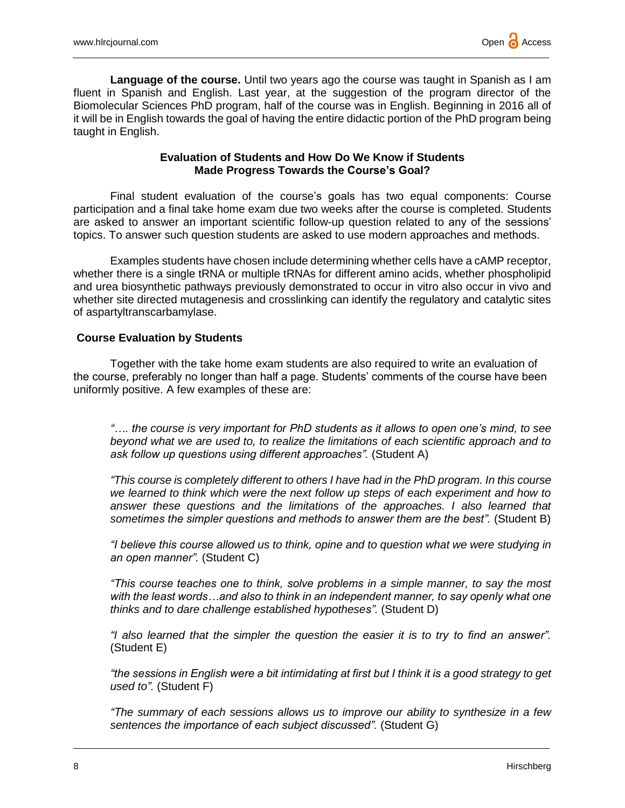**Language of the course.** Until two years ago the course was taught in Spanish as I am fluent in Spanish and English. Last year, at the suggestion of the program director of the Biomolecular Sciences PhD program, half of the course was in English. Beginning in 2016 all of it will be in English towards the goal of having the entire didactic portion of the PhD program being taught in English.

## **Evaluation of Students and How Do We Know if Students Made Progress Towards the Course's Goal?**

Final student evaluation of the course's goals has two equal components: Course participation and a final take home exam due two weeks after the course is completed. Students are asked to answer an important scientific follow-up question related to any of the sessions' topics. To answer such question students are asked to use modern approaches and methods.

Examples students have chosen include determining whether cells have a cAMP receptor, whether there is a single tRNA or multiple tRNAs for different amino acids, whether phospholipid and urea biosynthetic pathways previously demonstrated to occur in vitro also occur in vivo and whether site directed mutagenesis and crosslinking can identify the regulatory and catalytic sites of aspartyltranscarbamylase.

## **Course Evaluation by Students**

Together with the take home exam students are also required to write an evaluation of the course, preferably no longer than half a page. Students' comments of the course have been uniformly positive. A few examples of these are:

*"…. the course is very important for PhD students as it allows to open one's mind, to see beyond what we are used to, to realize the limitations of each scientific approach and to ask follow up questions using different approaches".* (Student A)

*"This course is completely different to others I have had in the PhD program. In this course we learned to think which were the next follow up steps of each experiment and how to answer these questions and the limitations of the approaches. I also learned that sometimes the simpler questions and methods to answer them are the best".* (Student B)

*"I believe this course allowed us to think, opine and to question what we were studying in an open manner".* (Student C)

*"This course teaches one to think, solve problems in a simple manner, to say the most with the least words…and also to think in an independent manner, to say openly what one thinks and to dare challenge established hypotheses".* (Student D)

*"I also learned that the simpler the question the easier it is to try to find an answer".* (Student E)

*"the sessions in English were a bit intimidating at first but I think it is a good strategy to get used to".* (Student F)

*"The summary of each sessions allows us to improve our ability to synthesize in a few sentences the importance of each subject discussed".* (Student G)